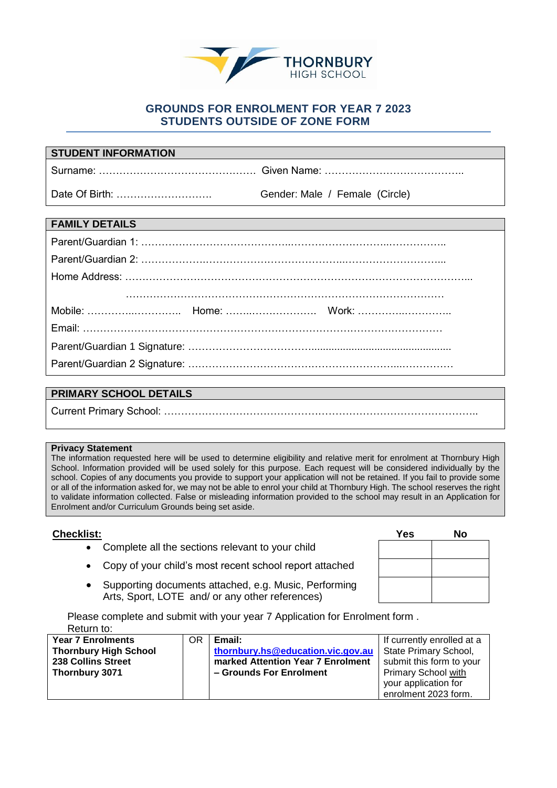

## **GROUNDS FOR ENROLMENT FOR YEAR 7 2023 STUDENTS OUTSIDE OF ZONE FORM**

| <b>STUDENT INFORMATION</b> |                                |
|----------------------------|--------------------------------|
|                            |                                |
|                            | Gender: Male / Female (Circle) |
|                            |                                |
| <b>FAMILY DETAILS</b>      |                                |
|                            |                                |
|                            |                                |
|                            |                                |
|                            |                                |
|                            |                                |
|                            |                                |
|                            |                                |
|                            |                                |
|                            |                                |

## **PRIMARY SCHOOL DETAILS**

Current Primary School: ………………………………………………………………………………..

## **Privacy Statement**

The information requested here will be used to determine eligibility and relative merit for enrolment at Thornbury High School. Information provided will be used solely for this purpose. Each request will be considered individually by the school. Copies of any documents you provide to support your application will not be retained. If you fail to provide some or all of the information asked for, we may not be able to enrol your child at Thornbury High. The school reserves the right to validate information collected. False or misleading information provided to the school may result in an Application for Enrolment and/or Curriculum Grounds being set aside.

## $Checklist:$

- Complete all the sections relevant to your child
- Copy of your child's most recent school report attached
- Supporting documents attached, e.g. Music, Performing Arts, Sport, LOTE and/ or any other references)

Please complete and submit with your year 7 Application for Enrolment form . Return to:

| <b>Year 7 Enrolments</b>     | OR | Email:                            | If currently enrolled at a |
|------------------------------|----|-----------------------------------|----------------------------|
| <b>Thornbury High School</b> |    | thornbury.hs@education.vic.gov.au | State Primary School,      |
| 238 Collins Street           |    | marked Attention Year 7 Enrolment | submit this form to your   |
| Thornbury 3071               |    | - Grounds For Enrolment           | <b>Primary School with</b> |
|                              |    |                                   | your application for       |
|                              |    |                                   | enrolment 2023 form.       |

| <b>Yes</b> | No |
|------------|----|
|            |    |
|            |    |
|            |    |
|            |    |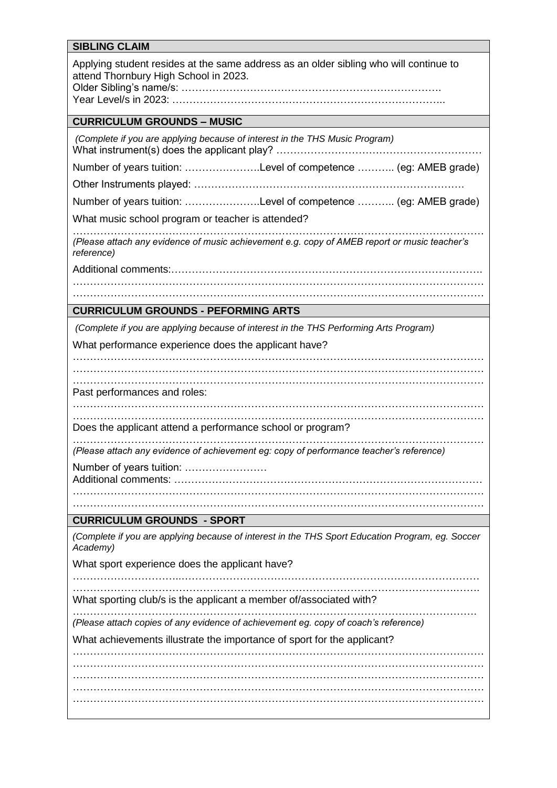| <b>SIBLING CLAIM</b>                                                                                                           |
|--------------------------------------------------------------------------------------------------------------------------------|
| Applying student resides at the same address as an older sibling who will continue to<br>attend Thornbury High School in 2023. |
| <b>CURRICULUM GROUNDS - MUSIC</b>                                                                                              |
| (Complete if you are applying because of interest in the THS Music Program)                                                    |
| Number of years tuition: Level of competence  (eg: AMEB grade)                                                                 |
|                                                                                                                                |
| Number of years tuition: Level of competence  (eg: AMEB grade)                                                                 |
| What music school program or teacher is attended?                                                                              |
| (Please attach any evidence of music achievement e.g. copy of AMEB report or music teacher's<br>reference)                     |
|                                                                                                                                |
|                                                                                                                                |
| <b>CURRICULUM GROUNDS - PEFORMING ARTS</b>                                                                                     |
|                                                                                                                                |
| (Complete if you are applying because of interest in the THS Performing Arts Program)                                          |
| What performance experience does the applicant have?                                                                           |
|                                                                                                                                |
| Past performances and roles:                                                                                                   |
|                                                                                                                                |
| Does the applicant attend a performance school or program?                                                                     |
| (Please attach any evidence of achievement eg: copy of performance teacher's reference)                                        |
| Number of years tuition:                                                                                                       |
|                                                                                                                                |
|                                                                                                                                |
| <b>CURRICULUM GROUNDS - SPORT</b>                                                                                              |
| (Complete if you are applying because of interest in the THS Sport Education Program, eg. Soccer<br>Academy)                   |
| What sport experience does the applicant have?                                                                                 |
| What sporting club/s is the applicant a member of/associated with?                                                             |
| (Please attach copies of any evidence of achievement eg. copy of coach's reference)                                            |
| What achievements illustrate the importance of sport for the applicant?                                                        |
|                                                                                                                                |
|                                                                                                                                |
|                                                                                                                                |